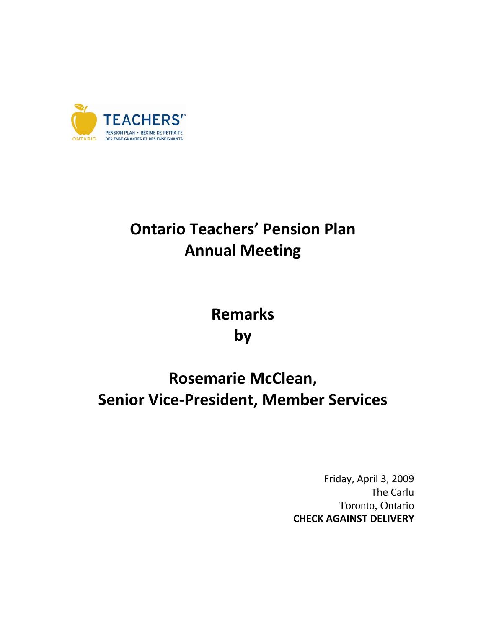

## **Ontario Teachers' Pension Plan Annual Meeting**

**Remarks by**

## **Rosemarie McClean, Senior Vice‐President, Member Services**

Friday, April 3, 2009 The Carlu Toronto, Ontario **CHECK AGAINST DELIVERY**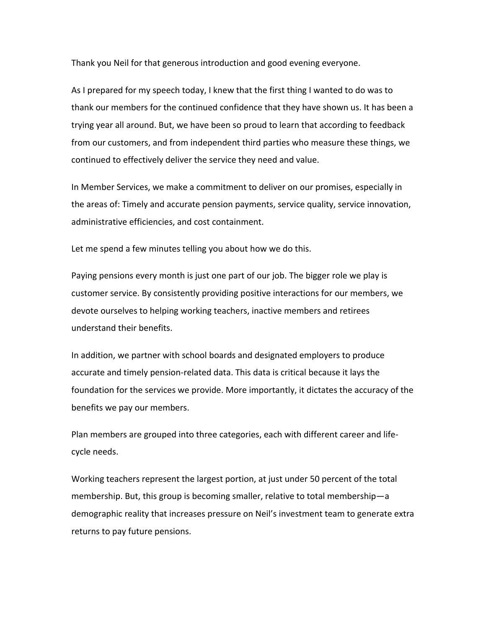Thank you Neil for that generous introduction and good evening everyone.

As I prepared for my speech today, I knew that the first thing I wanted to do was to thank our members for the continued confidence that they have shown us. It has been a trying year all around. But, we have been so proud to learn that according to feedback from our customers, and from independent third parties who measure these things, we continued to effectively deliver the service they need and value.

In Member Services, we make a commitment to deliver on our promises, especially in the areas of: Timely and accurate pension payments, service quality, service innovation, administrative efficiencies, and cost containment.

Let me spend a few minutes telling you about how we do this.

Paying pensions every month is just one part of our job. The bigger role we play is customer service. By consistently providing positive interactions for our members, we devote ourselves to helping working teachers, inactive members and retirees understand their benefits.

In addition, we partner with school boards and designated employers to produce accurate and timely pension‐related data. This data is critical because it lays the foundation for the services we provide. More importantly, it dictates the accuracy of the benefits we pay our members.

Plan members are grouped into three categories, each with different career and life‐ cycle needs.

Working teachers represent the largest portion, at just under 50 percent of the total membership. But, this group is becoming smaller, relative to total membership—a demographic reality that increases pressure on Neil's investment team to generate extra returns to pay future pensions.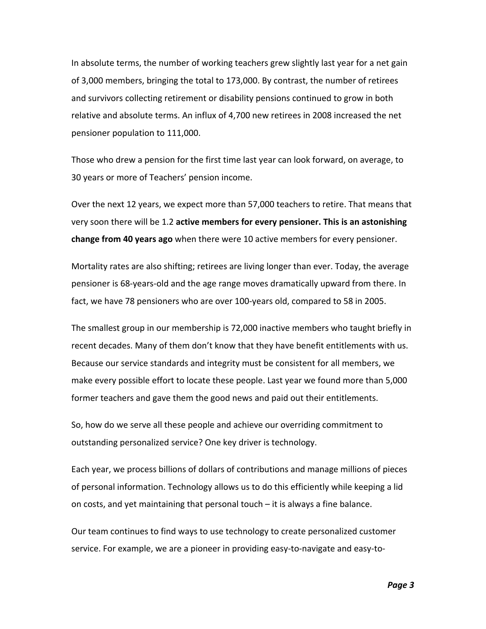In absolute terms, the number of working teachers grew slightly last year for a net gain of 3,000 members, bringing the total to 173,000. By contrast, the number of retirees and survivors collecting retirement or disability pensions continued to grow in both relative and absolute terms. An influx of 4,700 new retirees in 2008 increased the net pensioner population to 111,000.

Those who drew a pension for the first time last year can look forward, on average, to 30 years or more of Teachers' pension income.

Over the next 12 years, we expect more than 57,000 teachers to retire. That means that very soon there will be 1.2 **active members for every pensioner. This is an astonishing change from 40 years ago** when there were 10 active members for every pensioner.

Mortality rates are also shifting; retirees are living longer than ever. Today, the average pensioner is 68‐years‐old and the age range moves dramatically upward from there. In fact, we have 78 pensioners who are over 100‐years old, compared to 58 in 2005.

The smallest group in our membership is 72,000 inactive members who taught briefly in recent decades. Many of them don't know that they have benefit entitlements with us. Because our service standards and integrity must be consistent for all members, we make every possible effort to locate these people. Last year we found more than 5,000 former teachers and gave them the good news and paid out their entitlements.

So, how do we serve all these people and achieve our overriding commitment to outstanding personalized service? One key driver is technology.

Each year, we process billions of dollars of contributions and manage millions of pieces of personal information. Technology allows us to do this efficiently while keeping a lid on costs, and yet maintaining that personal touch – it is always a fine balance.

Our team continues to find ways to use technology to create personalized customer service. For example, we are a pioneer in providing easy‐to‐navigate and easy‐to‐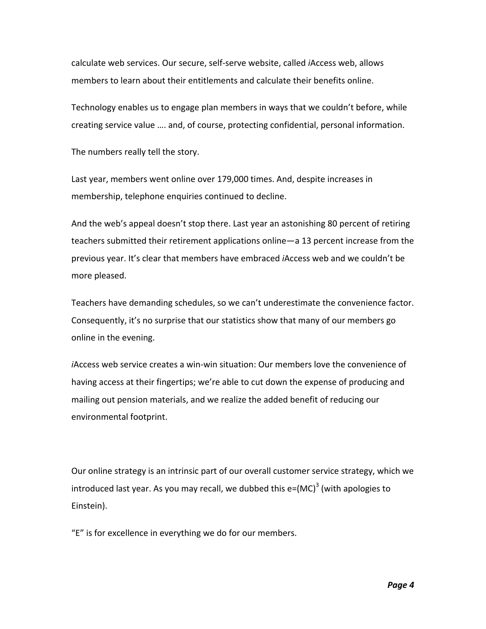calculate web services. Our secure, self‐serve website, called *i*Access web, allows members to learn about their entitlements and calculate their benefits online.

Technology enables us to engage plan members in ways that we couldn't before, while creating service value …. and, of course, protecting confidential, personal information.

The numbers really tell the story.

Last year, members went online over 179,000 times. And, despite increases in membership, telephone enquiries continued to decline.

And the web's appeal doesn't stop there. Last year an astonishing 80 percent of retiring teachers submitted their retirement applications online—a 13 percent increase from the previous year. It's clear that members have embraced *i*Access web and we couldn't be more pleased.

Teachers have demanding schedules, so we can't underestimate the convenience factor. Consequently, it's no surprise that our statistics show that many of our members go online in the evening.

*i*Access web service creates a win‐win situation: Our members love the convenience of having access at their fingertips; we're able to cut down the expense of producing and mailing out pension materials, and we realize the added benefit of reducing our environmental footprint.

Our online strategy is an intrinsic part of our overall customer service strategy, which we introduced last year. As you may recall, we dubbed this  $e=(MC)^3$  (with apologies to Einstein).

"E" is for excellence in everything we do for our members.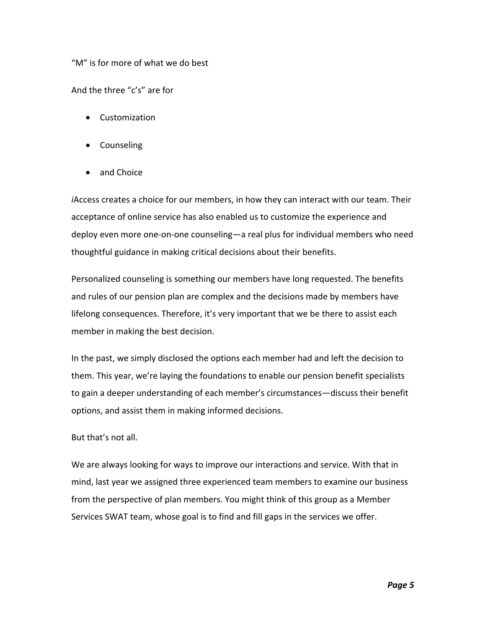"M" is for more of what we do best

And the three "c's" are for

- Customization
- Counseling
- and Choice

*i*Access creates a choice for our members, in how they can interact with our team. Their acceptance of online service has also enabled us to customize the experience and deploy even more one‐on‐one counseling—a real plus for individual members who need thoughtful guidance in making critical decisions about their benefits.

Personalized counseling is something our members have long requested. The benefits and rules of our pension plan are complex and the decisions made by members have lifelong consequences. Therefore, it's very important that we be there to assist each member in making the best decision.

In the past, we simply disclosed the options each member had and left the decision to them. This year, we're laying the foundations to enable our pension benefit specialists to gain a deeper understanding of each member's circumstances—discuss their benefit options, and assist them in making informed decisions.

## But that's not all.

We are always looking for ways to improve our interactions and service. With that in mind, last year we assigned three experienced team members to examine our business from the perspective of plan members. You might think of this group as a Member Services SWAT team, whose goal is to find and fill gaps in the services we offer.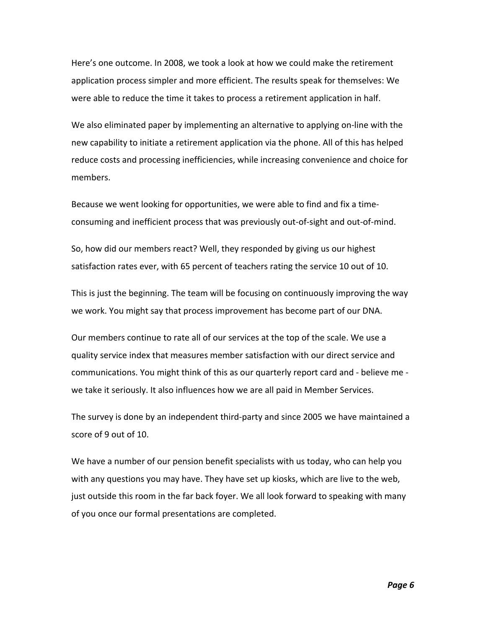Here's one outcome. In 2008, we took a look at how we could make the retirement application process simpler and more efficient. The results speak for themselves: We were able to reduce the time it takes to process a retirement application in half.

We also eliminated paper by implementing an alternative to applying on-line with the new capability to initiate a retirement application via the phone. All of this has helped reduce costs and processing inefficiencies, while increasing convenience and choice for members.

Because we went looking for opportunities, we were able to find and fix a time‐ consuming and inefficient process that was previously out‐of‐sight and out‐of‐mind.

So, how did our members react? Well, they responded by giving us our highest satisfaction rates ever, with 65 percent of teachers rating the service 10 out of 10.

This is just the beginning. The team will be focusing on continuously improving the way we work. You might say that process improvement has become part of our DNA.

Our members continue to rate all of our services at the top of the scale. We use a quality service index that measures member satisfaction with our direct service and communications. You might think of this as our quarterly report card and ‐ believe me ‐ we take it seriously. It also influences how we are all paid in Member Services.

The survey is done by an independent third‐party and since 2005 we have maintained a score of 9 out of 10.

We have a number of our pension benefit specialists with us today, who can help you with any questions you may have. They have set up kiosks, which are live to the web, just outside this room in the far back foyer. We all look forward to speaking with many of you once our formal presentations are completed.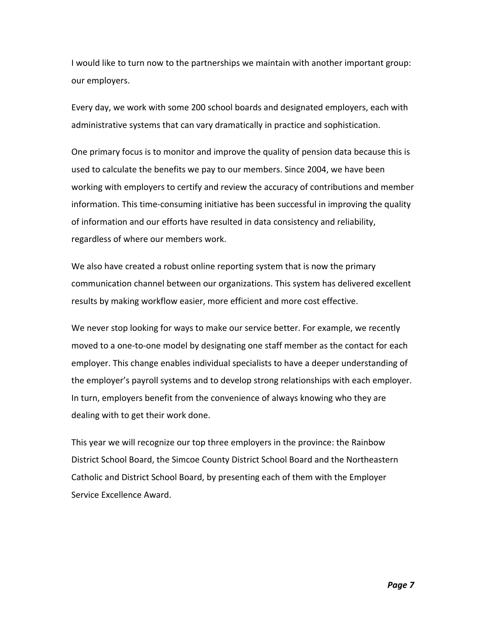I would like to turn now to the partnerships we maintain with another important group: our employers.

Every day, we work with some 200 school boards and designated employers, each with administrative systems that can vary dramatically in practice and sophistication.

One primary focus is to monitor and improve the quality of pension data because this is used to calculate the benefits we pay to our members. Since 2004, we have been working with employers to certify and review the accuracy of contributions and member information. This time‐consuming initiative has been successful in improving the quality of information and our efforts have resulted in data consistency and reliability, regardless of where our members work.

We also have created a robust online reporting system that is now the primary communication channel between our organizations. This system has delivered excellent results by making workflow easier, more efficient and more cost effective.

We never stop looking for ways to make our service better. For example, we recently moved to a one‐to‐one model by designating one staff member as the contact for each employer. This change enables individual specialists to have a deeper understanding of the employer's payroll systems and to develop strong relationships with each employer. In turn, employers benefit from the convenience of always knowing who they are dealing with to get their work done.

This year we will recognize our top three employers in the province: the Rainbow District School Board, the Simcoe County District School Board and the Northeastern Catholic and District School Board, by presenting each of them with the Employer Service Excellence Award.